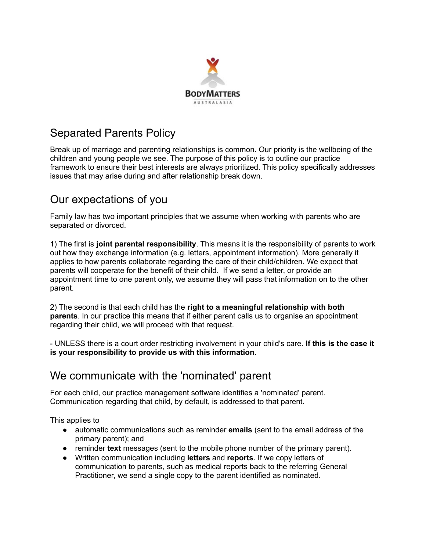

# Separated Parents Policy

Break up of marriage and parenting relationships is common. Our priority is the wellbeing of the children and young people we see. The purpose of this policy is to outline our practice framework to ensure their best interests are always prioritized. This policy specifically addresses issues that may arise during and after relationship break down.

# Our expectations of you

Family law has two important principles that we assume when working with parents who are separated or divorced.

1) The first is **joint parental responsibility**. This means it is the responsibility of parents to work out how they exchange information (e.g. letters, appointment information). More generally it applies to how parents collaborate regarding the care of their child/children. We expect that parents will cooperate for the benefit of their child. If we send a letter, or provide an appointment time to one parent only, we assume they will pass that information on to the other parent.

2) The second is that each child has the **right to a meaningful relationship with both parents**. In our practice this means that if either parent calls us to organise an appointment regarding their child, we will proceed with that request.

- UNLESS there is a court order restricting involvement in your child's care. **If this is the case it is your responsibility to provide us with this information.**

## We communicate with the 'nominated' parent

For each child, our practice management software identifies a 'nominated' parent. Communication regarding that child, by default, is addressed to that parent.

This applies to

- automatic communications such as reminder **emails** (sent to the email address of the primary parent); and
- reminder **text** messages (sent to the mobile phone number of the primary parent).
- Written communication including **letters** and **reports**. If we copy letters of communication to parents, such as medical reports back to the referring General Practitioner, we send a single copy to the parent identified as nominated.